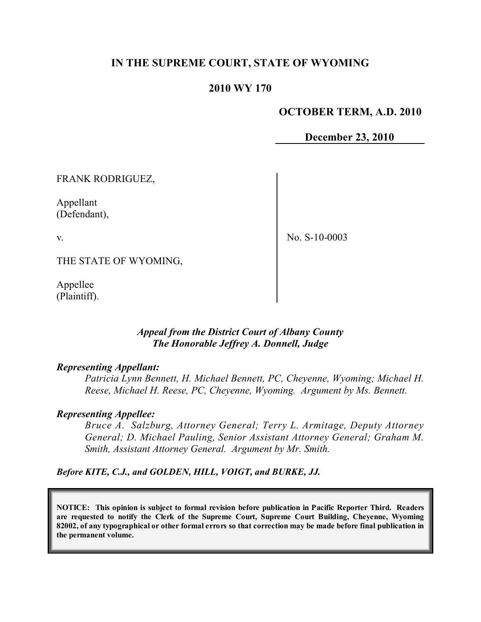## **IN THE SUPREME COURT, STATE OF WYOMING**

### **2010 WY 170**

#### **OCTOBER TERM, A.D. 2010**

**December 23, 2010**

FRANK RODRIGUEZ,

Appellant (Defendant),

v.

No. S-10-0003

THE STATE OF WYOMING,

Appellee (Plaintiff).

### *Appeal from the District Court of Albany County The Honorable Jeffrey A. Donnell, Judge*

#### *Representing Appellant:*

*Patricia Lynn Bennett, H. Michael Bennett, PC, Cheyenne, Wyoming; Michael H. Reese, Michael H. Reese, PC, Cheyenne, Wyoming. Argument by Ms. Bennett.*

#### *Representing Appellee:*

*Bruce A. Salzburg, Attorney General; Terry L. Armitage, Deputy Attorney General; D. Michael Pauling, Senior Assistant Attorney General; Graham M. Smith, Assistant Attorney General. Argument by Mr. Smith.*

*Before KITE, C.J., and GOLDEN, HILL, VOIGT, and BURKE, JJ.*

**NOTICE: This opinion is subject to formal revision before publication in Pacific Reporter Third. Readers are requested to notify the Clerk of the Supreme Court, Supreme Court Building, Cheyenne, Wyoming** 82002, of any typographical or other formal errors so that correction may be made before final publication in **the permanent volume.**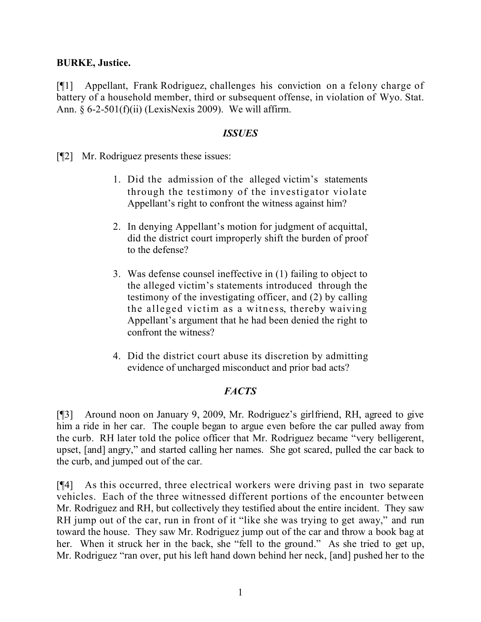### **BURKE, Justice.**

[¶1] Appellant, Frank Rodriguez, challenges his conviction on a felony charge of battery of a household member, third or subsequent offense, in violation of Wyo. Stat. Ann.  $\frac{6-2-501(f)(ii)}{Lexi sNexi s2009}$ . We will affirm.

#### *ISSUES*

[¶2] Mr. Rodriguez presents these issues:

- 1. Did the admission of the alleged victim's statements through the testimony of the investigator violate Appellant's right to confront the witness against him?
- 2. In denying Appellant's motion for judgment of acquittal, did the district court improperly shift the burden of proof to the defense?
- 3. Was defense counsel ineffective in (1) failing to object to the alleged victim's statements introduced through the testimony of the investigating officer, and (2) by calling the alleged victim as a witness, thereby waiving Appellant's argument that he had been denied the right to confront the witness?
- 4. Did the district court abuse its discretion by admitting evidence of uncharged misconduct and prior bad acts?

## *FACTS*

[¶3] Around noon on January 9, 2009, Mr. Rodriguez's girlfriend, RH, agreed to give him a ride in her car. The couple began to argue even before the car pulled away from the curb. RH later told the police officer that Mr. Rodriguez became "very belligerent, upset, [and] angry," and started calling her names. She got scared, pulled the car back to the curb, and jumped out of the car.

[¶4] As this occurred, three electrical workers were driving past in two separate vehicles. Each of the three witnessed different portions of the encounter between Mr. Rodriguez and RH, but collectively they testified about the entire incident. They saw RH jump out of the car, run in front of it "like she was trying to get away," and run toward the house. They saw Mr. Rodriguez jump out of the car and throw a book bag at her. When it struck her in the back, she "fell to the ground." As she tried to get up, Mr. Rodriguez "ran over, put his left hand down behind her neck, [and] pushed her to the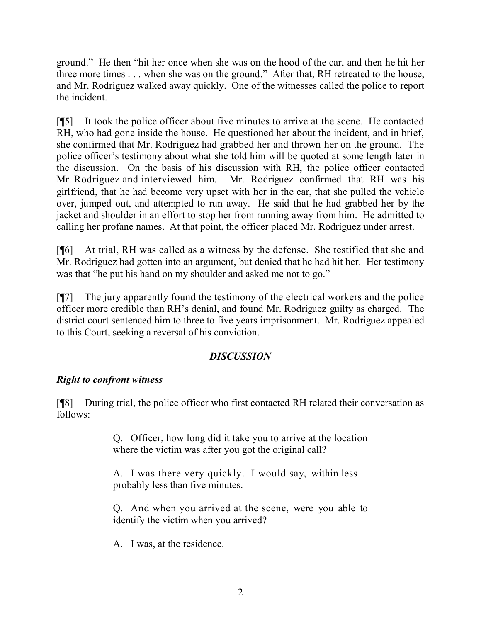ground." He then "hit her once when she was on the hood of the car, and then he hit her three more times . . . when she was on the ground." After that, RH retreated to the house, and Mr. Rodriguez walked away quickly. One of the witnesses called the police to report the incident.

[¶5] It took the police officer about five minutes to arrive at the scene. He contacted RH, who had gone inside the house. He questioned her about the incident, and in brief, she confirmed that Mr. Rodriguez had grabbed her and thrown her on the ground. The police officer's testimony about what she told him will be quoted at some length later in the discussion. On the basis of his discussion with RH, the police officer contacted Mr. Rodriguez and interviewed him. Mr. Rodriguez confirmed that RH was his girlfriend, that he had become very upset with her in the car, that she pulled the vehicle over, jumped out, and attempted to run away. He said that he had grabbed her by the jacket and shoulder in an effort to stop her from running away from him. He admitted to calling her profane names. At that point, the officer placed Mr. Rodriguez under arrest.

[¶6] At trial, RH was called as a witness by the defense. She testified that she and Mr. Rodriguez had gotten into an argument, but denied that he had hit her. Her testimony was that "he put his hand on my shoulder and asked me not to go."

[¶7] The jury apparently found the testimony of the electrical workers and the police officer more credible than RH's denial, and found Mr. Rodriguez guilty as charged. The district court sentenced him to three to five years imprisonment. Mr. Rodriguez appealed to this Court, seeking a reversal of his conviction.

# *DISCUSSION*

# *Right to confront witness*

[¶8] During trial, the police officer who first contacted RH related their conversation as follows:

> Q. Officer, how long did it take you to arrive at the location where the victim was after you got the original call?

> A. I was there very quickly. I would say, within less – probably less than five minutes.

> Q. And when you arrived at the scene, were you able to identify the victim when you arrived?

A. I was, at the residence.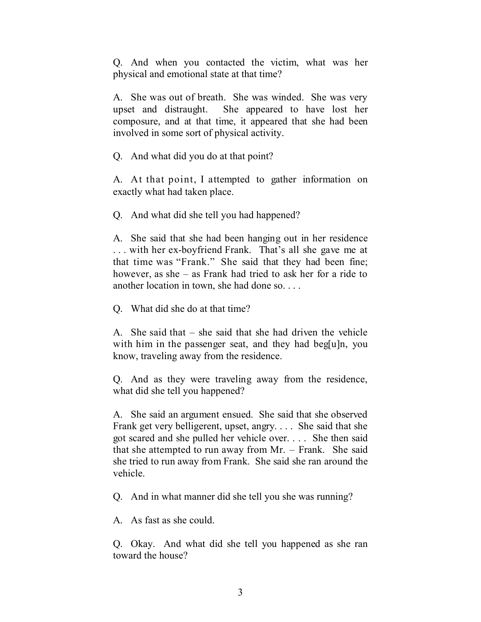Q. And when you contacted the victim, what was her physical and emotional state at that time?

A. She was out of breath. She was winded. She was very upset and distraught. She appeared to have lost her composure, and at that time, it appeared that she had been involved in some sort of physical activity.

Q. And what did you do at that point?

A. At that point, I attempted to gather information on exactly what had taken place.

Q. And what did she tell you had happened?

A. She said that she had been hanging out in her residence . . . with her ex-boyfriend Frank. That's all she gave me at that time was "Frank." She said that they had been fine; however, as she – as Frank had tried to ask her for a ride to another location in town, she had done so. . . .

Q. What did she do at that time?

A. She said that – she said that she had driven the vehicle with him in the passenger seat, and they had beg[u]n, you know, traveling away from the residence.

Q. And as they were traveling away from the residence, what did she tell you happened?

A. She said an argument ensued. She said that she observed Frank get very belligerent, upset, angry. . . . She said that she got scared and she pulled her vehicle over. . . . She then said that she attempted to run away from Mr. – Frank. She said she tried to run away from Frank. She said she ran around the vehicle.

Q. And in what manner did she tell you she was running?

A. As fast as she could.

Q. Okay. And what did she tell you happened as she ran toward the house?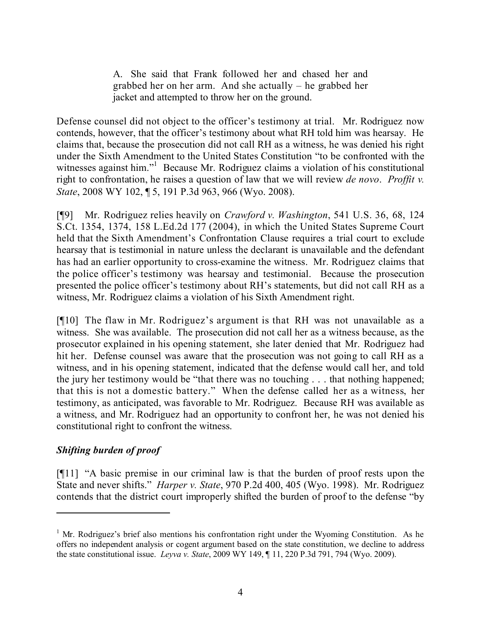A. She said that Frank followed her and chased her and grabbed her on her arm. And she actually – he grabbed her jacket and attempted to throw her on the ground.

Defense counsel did not object to the officer's testimony at trial. Mr. Rodriguez now contends, however, that the officer's testimony about what RH told him was hearsay. He claims that, because the prosecution did not call RH as a witness, he was denied his right under the Sixth Amendment to the United States Constitution "to be confronted with the witnesses against him."<sup>1</sup> Because Mr. Rodriguez claims a violation of his constitutional right to confrontation, he raises a question of law that we will review *de novo*. *Proffit v. State*, 2008 WY 102, ¶ 5, 191 P.3d 963, 966 (Wyo. 2008).

[¶9] Mr. Rodriguez relies heavily on *Crawford v. Washington*, 541 U.S. 36, 68, 124 S.Ct. 1354, 1374, 158 L.Ed.2d 177 (2004), in which the United States Supreme Court held that the Sixth Amendment's Confrontation Clause requires a trial court to exclude hearsay that is testimonial in nature unless the declarant is unavailable and the defendant has had an earlier opportunity to cross-examine the witness. Mr. Rodriguez claims that the police officer's testimony was hearsay and testimonial. Because the prosecution presented the police officer's testimony about RH's statements, but did not call RH as a witness, Mr. Rodriguez claims a violation of his Sixth Amendment right.

[¶10] The flaw in Mr. Rodriguez's argument is that RH was not unavailable as a witness. She was available. The prosecution did not call her as a witness because, as the prosecutor explained in his opening statement, she later denied that Mr. Rodriguez had hit her. Defense counsel was aware that the prosecution was not going to call RH as a witness, and in his opening statement, indicated that the defense would call her, and told the jury her testimony would be "that there was no touching . . . that nothing happened; that this is not a domestic battery." When the defense called her as a witness, her testimony, as anticipated, was favorable to Mr. Rodriguez. Because RH was available as a witness, and Mr. Rodriguez had an opportunity to confront her, he was not denied his constitutional right to confront the witness.

# *Shifting burden of proof*

[¶11] "A basic premise in our criminal law is that the burden of proof rests upon the State and never shifts." *Harper v. State*, 970 P.2d 400, 405 (Wyo. 1998). Mr. Rodriguez contends that the district court improperly shifted the burden of proof to the defense "by

 $1$  Mr. Rodriguez's brief also mentions his confrontation right under the Wyoming Constitution. As he offers no independent analysis or cogent argument based on the state constitution, we decline to address the state constitutional issue. *Leyva v. State*, 2009 WY 149, ¶ 11, 220 P.3d 791, 794 (Wyo. 2009).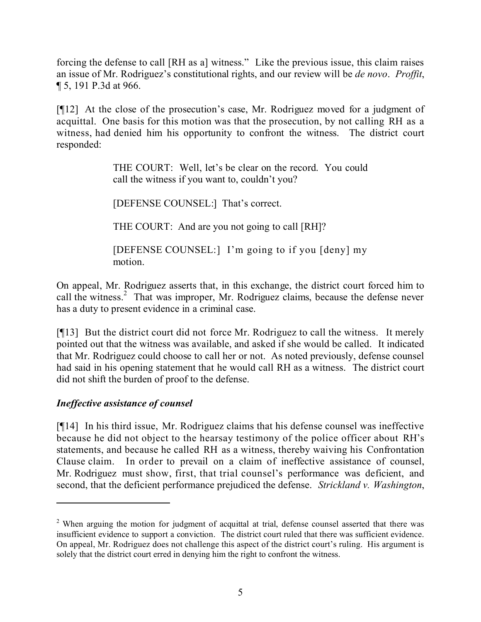forcing the defense to call [RH as a] witness." Like the previous issue, this claim raises an issue of Mr. Rodriguez's constitutional rights, and our review will be *de novo*. *Proffit*, ¶ 5, 191 P.3d at 966.

[¶12] At the close of the prosecution's case, Mr. Rodriguez moved for a judgment of acquittal. One basis for this motion was that the prosecution, by not calling RH as a witness, had denied him his opportunity to confront the witness. The district court responded:

> THE COURT: Well, let's be clear on the record. You could call the witness if you want to, couldn't you?

[DEFENSE COUNSEL:] That's correct.

THE COURT: And are you not going to call [RH]?

[DEFENSE COUNSEL:] I'm going to if you [deny] my motion.

On appeal, Mr. Rodriguez asserts that, in this exchange, the district court forced him to call the witness.<sup>2</sup> That was improper, Mr. Rodriguez claims, because the defense never has a duty to present evidence in a criminal case.

[¶13] But the district court did not force Mr. Rodriguez to call the witness. It merely pointed out that the witness was available, and asked if she would be called. It indicated that Mr. Rodriguez could choose to call her or not. As noted previously, defense counsel had said in his opening statement that he would call RH as a witness. The district court did not shift the burden of proof to the defense.

# *Ineffective assistance of counsel*

[¶14] In his third issue, Mr. Rodriguez claims that his defense counsel was ineffective because he did not object to the hearsay testimony of the police officer about RH's statements, and because he called RH as a witness, thereby waiving his Confrontation Clause claim. In order to prevail on a claim of ineffective assistance of counsel, Mr. Rodriguez must show, first, that trial counsel's performance was deficient, and second, that the deficient performance prejudiced the defense. *Strickland v. Washington*,

<sup>&</sup>lt;sup>2</sup> When arguing the motion for judgment of acquittal at trial, defense counsel asserted that there was insufficient evidence to support a conviction. The district court ruled that there was sufficient evidence. On appeal, Mr. Rodriguez does not challenge this aspect of the district court's ruling. His argument is solely that the district court erred in denying him the right to confront the witness.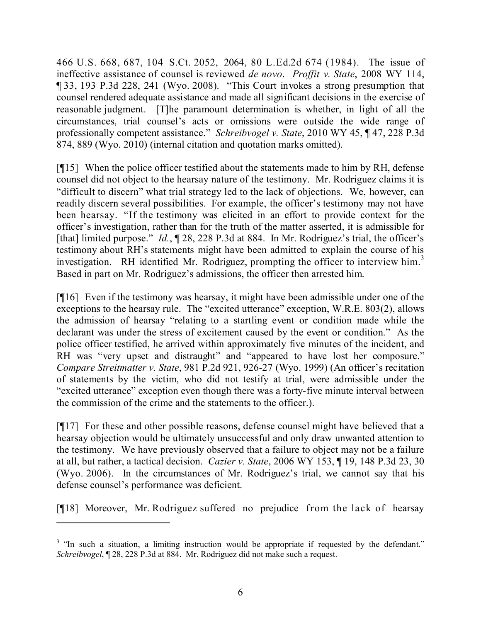466 U.S. 668, 687, 104 S.Ct. 2052, 2064, 80 L.Ed.2d 674 (1984). The issue of ineffective assistance of counsel is reviewed *de novo*. *Proffit v. State*, 2008 WY 114, ¶ 33, 193 P.3d 228, 241 (Wyo. 2008). "This Court invokes a strong presumption that counsel rendered adequate assistance and made all significant decisions in the exercise of reasonable judgment. [T]he paramount determination is whether, in light of all the circumstances, trial counsel's acts or omissions were outside the wide range of professionally competent assistance." *Schreibvogel v. State*, 2010 WY 45, ¶ 47, 228 P.3d 874, 889 (Wyo. 2010) (internal citation and quotation marks omitted).

[¶15] When the police officer testified about the statements made to him by RH, defense counsel did not object to the hearsay nature of the testimony. Mr. Rodriguez claims it is "difficult to discern" what trial strategy led to the lack of objections. We, however, can readily discern several possibilities. For example, the officer's testimony may not have been hearsay. "If the testimony was elicited in an effort to provide context for the officer's investigation, rather than for the truth of the matter asserted, it is admissible for [that] limited purpose." *Id.*,  $\sqrt{28}$ , 228 P.3d at 884. In Mr. Rodriguez's trial, the officer's testimony about RH's statements might have been admitted to explain the course of his investigation. RH identified Mr. Rodriguez, prompting the officer to interview him.<sup>3</sup> Based in part on Mr. Rodriguez's admissions, the officer then arrested him.

[¶16] Even if the testimony was hearsay, it might have been admissible under one of the exceptions to the hearsay rule. The "excited utterance" exception, W.R.E. 803(2), allows the admission of hearsay "relating to a startling event or condition made while the declarant was under the stress of excitement caused by the event or condition." As the police officer testified, he arrived within approximately five minutes of the incident, and RH was "very upset and distraught" and "appeared to have lost her composure." *Compare Streitmatter v. State*, 981 P.2d 921, 926-27 (Wyo. 1999) (An officer's recitation of statements by the victim, who did not testify at trial, were admissible under the "excited utterance" exception even though there was a forty-five minute interval between the commission of the crime and the statements to the officer.).

[¶17] For these and other possible reasons, defense counsel might have believed that a hearsay objection would be ultimately unsuccessful and only draw unwanted attention to the testimony. We have previously observed that a failure to object may not be a failure at all, but rather, a tactical decision. *Cazier v. State*, 2006 WY 153, ¶ 19, 148 P.3d 23, 30 (Wyo. 2006). In the circumstances of Mr. Rodriguez's trial, we cannot say that his defense counsel's performance was deficient.

[¶18] Moreover, Mr. Rodriguez suffered no prejudice from the lack of hearsay

<sup>&</sup>lt;sup>3</sup> "In such a situation, a limiting instruction would be appropriate if requested by the defendant." *Schreibvogel*, ¶ 28, 228 P.3d at 884. Mr. Rodriguez did not make such a request.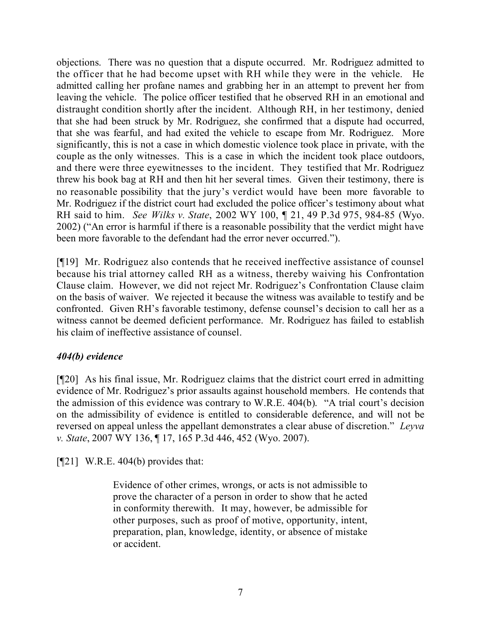objections. There was no question that a dispute occurred. Mr. Rodriguez admitted to the officer that he had become upset with RH while they were in the vehicle. He admitted calling her profane names and grabbing her in an attempt to prevent her from leaving the vehicle. The police officer testified that he observed RH in an emotional and distraught condition shortly after the incident. Although RH, in her testimony, denied that she had been struck by Mr. Rodriguez, she confirmed that a dispute had occurred, that she was fearful, and had exited the vehicle to escape from Mr. Rodriguez. More significantly, this is not a case in which domestic violence took place in private, with the couple as the only witnesses. This is a case in which the incident took place outdoors, and there were three eyewitnesses to the incident. They testified that Mr. Rodriguez threw his book bag at RH and then hit her several times. Given their testimony, there is no reasonable possibility that the jury's verdict would have been more favorable to Mr. Rodriguez if the district court had excluded the police officer's testimony about what RH said to him. *See Wilks v. State*, 2002 WY 100, ¶ 21, 49 P.3d 975, 984-85 (Wyo. 2002) ("An error is harmful if there is a reasonable possibility that the verdict might have been more favorable to the defendant had the error never occurred.").

[¶19] Mr. Rodriguez also contends that he received ineffective assistance of counsel because his trial attorney called RH as a witness, thereby waiving his Confrontation Clause claim. However, we did not reject Mr. Rodriguez's Confrontation Clause claim on the basis of waiver. We rejected it because the witness was available to testify and be confronted. Given RH's favorable testimony, defense counsel's decision to call her as a witness cannot be deemed deficient performance. Mr. Rodriguez has failed to establish his claim of ineffective assistance of counsel.

## *404(b) evidence*

[¶20] As his final issue, Mr. Rodriguez claims that the district court erred in admitting evidence of Mr. Rodriguez's prior assaults against household members. He contends that the admission of this evidence was contrary to W.R.E. 404(b). "A trial court's decision on the admissibility of evidence is entitled to considerable deference, and will not be reversed on appeal unless the appellant demonstrates a clear abuse of discretion." *Leyva v. State*, 2007 WY 136, ¶ 17, 165 P.3d 446, 452 (Wyo. 2007).

 $[$ [[21] W.R.E. 404(b) provides that:

Evidence of other crimes, wrongs, or acts is not admissible to prove the character of a person in order to show that he acted in conformity therewith. It may, however, be admissible for other purposes, such as proof of motive, opportunity, intent, preparation, plan, knowledge, identity, or absence of mistake or accident.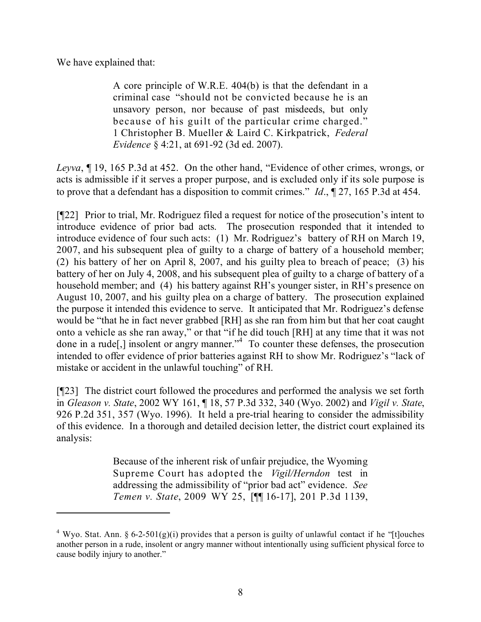We have explained that:

A core principle of W.R.E. 404(b) is that the defendant in a criminal case "should not be convicted because he is an unsavory person, nor because of past misdeeds, but only because of his guilt of the particular crime charged." 1 Christopher B. Mueller & Laird C. Kirkpatrick, *Federal Evidence* § 4:21, at 691-92 (3d ed. 2007).

*Leyva*, ¶ 19, 165 P.3d at 452. On the other hand, "Evidence of other crimes, wrongs, or acts is admissible if it serves a proper purpose, and is excluded only if its sole purpose is to prove that a defendant has a disposition to commit crimes." *Id*., ¶ 27, 165 P.3d at 454.

[¶22] Prior to trial, Mr. Rodriguez filed a request for notice of the prosecution's intent to introduce evidence of prior bad acts. The prosecution responded that it intended to introduce evidence of four such acts: (1) Mr. Rodriguez's battery of RH on March 19, 2007, and his subsequent plea of guilty to a charge of battery of a household member; (2) his battery of her on April 8, 2007, and his guilty plea to breach of peace; (3) his battery of her on July 4, 2008, and his subsequent plea of guilty to a charge of battery of a household member; and (4) his battery against RH's younger sister, in RH's presence on August 10, 2007, and his guilty plea on a charge of battery. The prosecution explained the purpose it intended this evidence to serve. It anticipated that Mr. Rodriguez's defense would be "that he in fact never grabbed [RH] as she ran from him but that her coat caught onto a vehicle as she ran away," or that "if he did touch [RH] at any time that it was not done in a rude[,] insolent or angry manner."<sup>4</sup> To counter these defenses, the prosecution intended to offer evidence of prior batteries against RH to show Mr. Rodriguez's "lack of mistake or accident in the unlawful touching" of RH.

[¶23] The district court followed the procedures and performed the analysis we set forth in *Gleason v. State*, 2002 WY 161, ¶ 18, 57 P.3d 332, 340 (Wyo. 2002) and *Vigil v. State*, 926 P.2d 351, 357 (Wyo. 1996). It held a pre-trial hearing to consider the admissibility of this evidence. In a thorough and detailed decision letter, the district court explained its analysis:

> Because of the inherent risk of unfair prejudice, the Wyoming Supreme Court has adopted the *Vigil/Herndon* test in addressing the admissibility of "prior bad act" evidence. *See Temen v. State*, 2009 WY 25, [¶¶ 16-17], 201 P.3d 1139,

<sup>&</sup>lt;sup>4</sup> Wyo. Stat. Ann. § 6-2-501(g)(i) provides that a person is guilty of unlawful contact if he "[t]ouches another person in a rude, insolent or angry manner without intentionally using sufficient physical force to cause bodily injury to another."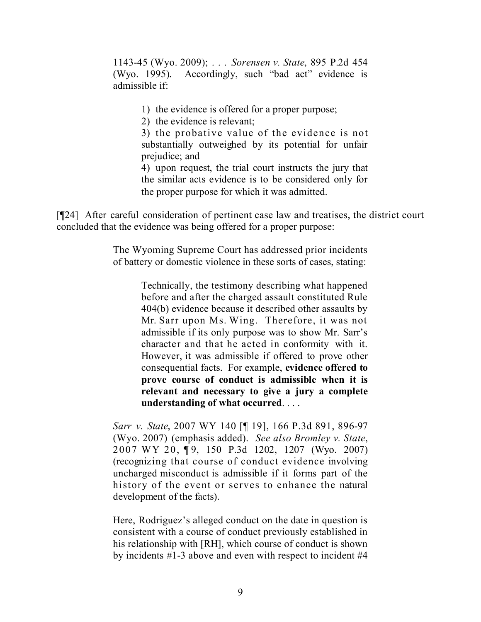1143-45 (Wyo. 2009); . . . *Sorensen v. State*, 895 P.2d 454 (Wyo. 1995). Accordingly, such "bad act" evidence is admissible if:

1) the evidence is offered for a proper purpose;

2) the evidence is relevant;

3) the probative value of the evidence is not substantially outweighed by its potential for unfair prejudice; and

4) upon request, the trial court instructs the jury that the similar acts evidence is to be considered only for the proper purpose for which it was admitted.

[¶24] After careful consideration of pertinent case law and treatises, the district court concluded that the evidence was being offered for a proper purpose:

> The Wyoming Supreme Court has addressed prior incidents of battery or domestic violence in these sorts of cases, stating:

> > Technically, the testimony describing what happened before and after the charged assault constituted Rule 404(b) evidence because it described other assaults by Mr. Sarr upon Ms. Wing. Therefore, it was not admissible if its only purpose was to show Mr. Sarr's character and that he acted in conformity with it. However, it was admissible if offered to prove other consequential facts. For example, **evidence offered to prove course of conduct is admissible when it is relevant and necessary to give a jury a complete understanding of what occurred**. . . .

*Sarr v. State*, 2007 WY 140 [¶ 19], 166 P.3d 891, 896-97 (Wyo. 2007) (emphasis added). *See also Bromley v. State*, 2007 WY 20, ¶ 9, 150 P.3d 1202, 1207 (Wyo. 2007) (recognizing that course of conduct evidence involving uncharged misconduct is admissible if it forms part of the history of the event or serves to enhance the natural development of the facts).

Here, Rodriguez's alleged conduct on the date in question is consistent with a course of conduct previously established in his relationship with [RH], which course of conduct is shown by incidents #1-3 above and even with respect to incident #4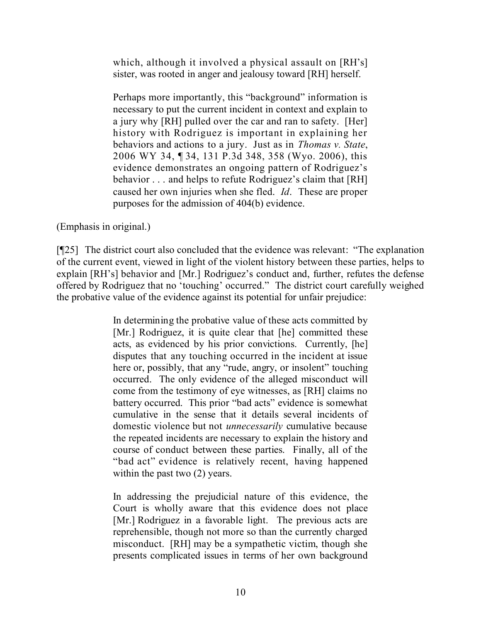which, although it involved a physical assault on [RH's] sister, was rooted in anger and jealousy toward [RH] herself.

Perhaps more importantly, this "background" information is necessary to put the current incident in context and explain to a jury why [RH] pulled over the car and ran to safety. [Her] history with Rodriguez is important in explaining her behaviors and actions to a jury. Just as in *Thomas v. State*, 2006 WY 34, ¶ 34, 131 P.3d 348, 358 (Wyo. 2006), this evidence demonstrates an ongoing pattern of Rodriguez's behavior . . . and helps to refute Rodriguez's claim that [RH] caused her own injuries when she fled. *Id*. These are proper purposes for the admission of 404(b) evidence.

(Emphasis in original.)

[¶25] The district court also concluded that the evidence was relevant: "The explanation" of the current event, viewed in light of the violent history between these parties, helps to explain [RH's] behavior and [Mr.] Rodriguez's conduct and, further, refutes the defense offered by Rodriguez that no 'touching' occurred." The district court carefully weighed the probative value of the evidence against its potential for unfair prejudice:

> In determining the probative value of these acts committed by [Mr.] Rodriguez, it is quite clear that [he] committed these acts, as evidenced by his prior convictions. Currently, [he] disputes that any touching occurred in the incident at issue here or, possibly, that any "rude, angry, or insolent" touching occurred. The only evidence of the alleged misconduct will come from the testimony of eye witnesses, as [RH] claims no battery occurred. This prior "bad acts" evidence is somewhat cumulative in the sense that it details several incidents of domestic violence but not *unnecessarily* cumulative because the repeated incidents are necessary to explain the history and course of conduct between these parties. Finally, all of the "bad act" evidence is relatively recent, having happened within the past two  $(2)$  years.

> In addressing the prejudicial nature of this evidence, the Court is wholly aware that this evidence does not place [Mr.] Rodriguez in a favorable light. The previous acts are reprehensible, though not more so than the currently charged misconduct. [RH] may be a sympathetic victim, though she presents complicated issues in terms of her own background